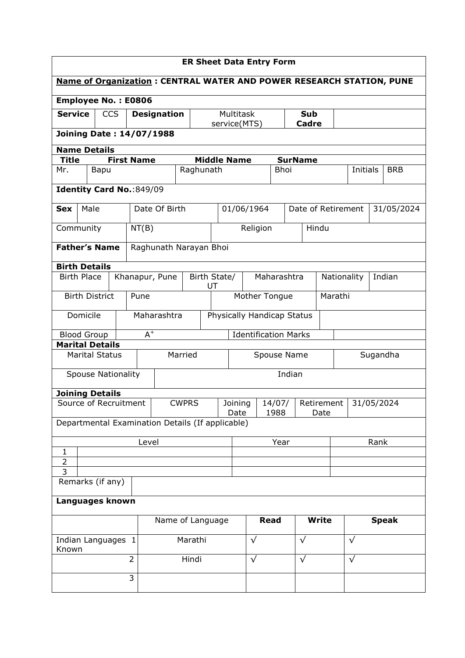| <b>ER Sheet Data Entry Form</b> |                           |                           |  |                                 |                                                  |              |                                   |                    |                                                  |             |                             |             |              |           |  |                                                                             |
|---------------------------------|---------------------------|---------------------------|--|---------------------------------|--------------------------------------------------|--------------|-----------------------------------|--------------------|--------------------------------------------------|-------------|-----------------------------|-------------|--------------|-----------|--|-----------------------------------------------------------------------------|
|                                 |                           |                           |  |                                 |                                                  |              |                                   |                    |                                                  |             |                             |             |              |           |  | <b>Name of Organization: CENTRAL WATER AND POWER RESEARCH STATION, PUNE</b> |
|                                 |                           |                           |  | <b>Employee No.: E0806</b>      |                                                  |              |                                   |                    |                                                  |             |                             |             |              |           |  |                                                                             |
| <b>Service</b>                  |                           | <b>CCS</b>                |  |                                 | <b>Designation</b>                               |              |                                   |                    | <b>Multitask</b><br>Sub<br>service(MTS)<br>Cadre |             |                             |             |              |           |  |                                                                             |
|                                 |                           |                           |  | <b>Joining Date: 14/07/1988</b> |                                                  |              |                                   |                    |                                                  |             |                             |             |              |           |  |                                                                             |
| <b>Name Details</b>             |                           |                           |  |                                 |                                                  |              |                                   |                    |                                                  |             |                             |             |              |           |  |                                                                             |
| <b>Title</b>                    |                           |                           |  | <b>First Name</b>               |                                                  |              |                                   | <b>Middle Name</b> |                                                  |             | <b>SurName</b>              |             |              |           |  |                                                                             |
| Mr.                             |                           | Bapu                      |  |                                 |                                                  |              | Raghunath                         |                    |                                                  | <b>Bhoi</b> |                             |             |              | Initials  |  | <b>BRB</b>                                                                  |
|                                 | Identity Card No.: 849/09 |                           |  |                                 |                                                  |              |                                   |                    |                                                  |             |                             |             |              |           |  |                                                                             |
| <b>Sex</b>                      | Male                      |                           |  |                                 | Date Of Birth                                    |              |                                   | 01/06/1964         |                                                  |             | Date of Retirement          |             |              |           |  | 31/05/2024                                                                  |
| Community                       |                           |                           |  | NT(B)                           |                                                  |              |                                   |                    | Religion                                         |             |                             | Hindu       |              |           |  |                                                                             |
| <b>Father's Name</b>            |                           |                           |  |                                 | Raghunath Narayan Bhoi                           |              |                                   |                    |                                                  |             |                             |             |              |           |  |                                                                             |
| <b>Birth Details</b>            |                           |                           |  |                                 |                                                  |              |                                   |                    |                                                  |             |                             |             |              |           |  |                                                                             |
| <b>Birth Place</b>              |                           |                           |  | Khanapur, Pune                  |                                                  |              | Birth State/                      |                    |                                                  | Maharashtra |                             | Nationality |              |           |  | Indian                                                                      |
|                                 |                           | <b>Birth District</b>     |  | Pune                            |                                                  | UT           |                                   |                    | Mother Tongue                                    |             |                             | Marathi     |              |           |  |                                                                             |
|                                 | Domicile                  |                           |  |                                 | Maharashtra                                      |              |                                   |                    | Physically Handicap Status                       |             |                             |             |              |           |  |                                                                             |
| <b>Blood Group</b>              |                           |                           |  | $A^+$                           |                                                  |              |                                   |                    |                                                  |             | <b>Identification Marks</b> |             |              |           |  |                                                                             |
| <b>Marital Details</b>          |                           |                           |  |                                 |                                                  |              |                                   |                    |                                                  |             |                             |             |              |           |  |                                                                             |
|                                 |                           | <b>Marital Status</b>     |  |                                 | Married                                          |              |                                   |                    | Spouse Name<br>Sugandha                          |             |                             |             |              |           |  |                                                                             |
|                                 |                           | <b>Spouse Nationality</b> |  |                                 |                                                  |              |                                   |                    | Indian                                           |             |                             |             |              |           |  |                                                                             |
| <b>Joining Details</b>          |                           |                           |  |                                 |                                                  |              |                                   |                    |                                                  |             |                             |             |              |           |  |                                                                             |
| Source of Recruitment           |                           |                           |  |                                 |                                                  | <b>CWPRS</b> | Joining<br>14/07/<br>1988<br>Date |                    |                                                  | Date        | 31/05/2024<br>Retirement    |             |              |           |  |                                                                             |
|                                 |                           |                           |  |                                 | Departmental Examination Details (If applicable) |              |                                   |                    |                                                  |             |                             |             |              |           |  |                                                                             |
|                                 |                           |                           |  | Level                           |                                                  |              |                                   |                    | Year                                             |             |                             | Rank        |              |           |  |                                                                             |
| $\mathbf{1}$<br>$\overline{2}$  |                           |                           |  |                                 |                                                  |              |                                   |                    |                                                  |             |                             |             |              |           |  |                                                                             |
| 3                               |                           |                           |  |                                 |                                                  |              |                                   |                    |                                                  |             |                             |             |              |           |  |                                                                             |
| Remarks (if any)                |                           |                           |  |                                 |                                                  |              |                                   |                    |                                                  |             |                             |             |              |           |  |                                                                             |
| Languages known                 |                           |                           |  |                                 |                                                  |              |                                   |                    |                                                  |             |                             |             |              |           |  |                                                                             |
| Name of Language                |                           |                           |  |                                 |                                                  |              | <b>Read</b>                       |                    | <b>Write</b>                                     |             |                             |             | <b>Speak</b> |           |  |                                                                             |
| Indian Languages 1<br>Known     |                           |                           |  |                                 |                                                  | Marathi      |                                   |                    | $\checkmark$                                     |             | $\sqrt{}$                   |             |              | $\sqrt{}$ |  |                                                                             |
|                                 |                           |                           |  | $\overline{2}$                  |                                                  | Hindi        |                                   |                    | $\sqrt{}$                                        |             | $\sqrt{}$                   |             |              | $\sqrt{}$ |  |                                                                             |
|                                 |                           |                           |  | 3                               |                                                  |              |                                   |                    |                                                  |             |                             |             |              |           |  |                                                                             |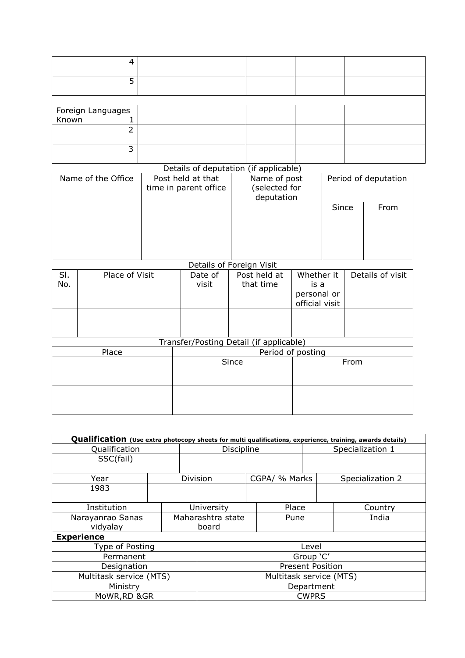| 4                            |  |  |
|------------------------------|--|--|
|                              |  |  |
|                              |  |  |
| Foreign Languages<br>Known 1 |  |  |
|                              |  |  |
|                              |  |  |
| ∍                            |  |  |

## Details of deputation (if applicable)

| Name of the Office | Post held at that<br>time in parent office | Name of post<br>(selected for<br>deputation | Period of deputation |      |  |  |
|--------------------|--------------------------------------------|---------------------------------------------|----------------------|------|--|--|
|                    |                                            |                                             | Since                | From |  |  |
|                    |                                            |                                             |                      |      |  |  |

## Details of Foreign Visit

|     |                |         | <b>PULLATION</b> I OI CIGII VIDIL |                |                  |
|-----|----------------|---------|-----------------------------------|----------------|------------------|
| SI. | Place of Visit | Date of | Post held at                      | Whether it     | Details of visit |
| No. |                | visit   | that time                         | is a           |                  |
|     |                |         |                                   | personal or    |                  |
|     |                |         |                                   | official visit |                  |
|     |                |         |                                   |                |                  |
|     |                |         |                                   |                |                  |
|     |                |         |                                   |                |                  |

## Transfer/Posting Detail (if applicable)

| Place | Period of posting |      |  |  |  |  |
|-------|-------------------|------|--|--|--|--|
|       | Since             | From |  |  |  |  |
|       |                   |      |  |  |  |  |
|       |                   |      |  |  |  |  |
|       |                   |      |  |  |  |  |
|       |                   |      |  |  |  |  |
|       |                   |      |  |  |  |  |

| Qualification (Use extra photocopy sheets for multi qualifications, experience, training, awards details) |                         |                   |              |  |               |                  |                  |  |  |  |  |
|-----------------------------------------------------------------------------------------------------------|-------------------------|-------------------|--------------|--|---------------|------------------|------------------|--|--|--|--|
| Qualification                                                                                             |                         |                   | Discipline   |  |               | Specialization 1 |                  |  |  |  |  |
| SSC(fail)                                                                                                 |                         |                   |              |  |               |                  |                  |  |  |  |  |
|                                                                                                           |                         |                   |              |  |               |                  |                  |  |  |  |  |
| Year                                                                                                      |                         |                   | Division     |  | CGPA/ % Marks |                  | Specialization 2 |  |  |  |  |
| 1983                                                                                                      |                         |                   |              |  |               |                  |                  |  |  |  |  |
|                                                                                                           |                         |                   |              |  |               |                  |                  |  |  |  |  |
| Institution                                                                                               |                         | University        |              |  | Place         |                  | Country          |  |  |  |  |
| Narayanrao Sanas                                                                                          |                         | Maharashtra state |              |  | Pune          |                  | India            |  |  |  |  |
| vidyalay                                                                                                  |                         | board             |              |  |               |                  |                  |  |  |  |  |
| <b>Experience</b>                                                                                         |                         |                   |              |  |               |                  |                  |  |  |  |  |
| Type of Posting                                                                                           |                         |                   | Level        |  |               |                  |                  |  |  |  |  |
| Permanent                                                                                                 |                         | Group 'C'         |              |  |               |                  |                  |  |  |  |  |
| Designation                                                                                               | <b>Present Position</b> |                   |              |  |               |                  |                  |  |  |  |  |
| Multitask service (MTS)                                                                                   | Multitask service (MTS) |                   |              |  |               |                  |                  |  |  |  |  |
| Ministry                                                                                                  | Department              |                   |              |  |               |                  |                  |  |  |  |  |
| MoWR, RD & GR                                                                                             |                         |                   | <b>CWPRS</b> |  |               |                  |                  |  |  |  |  |